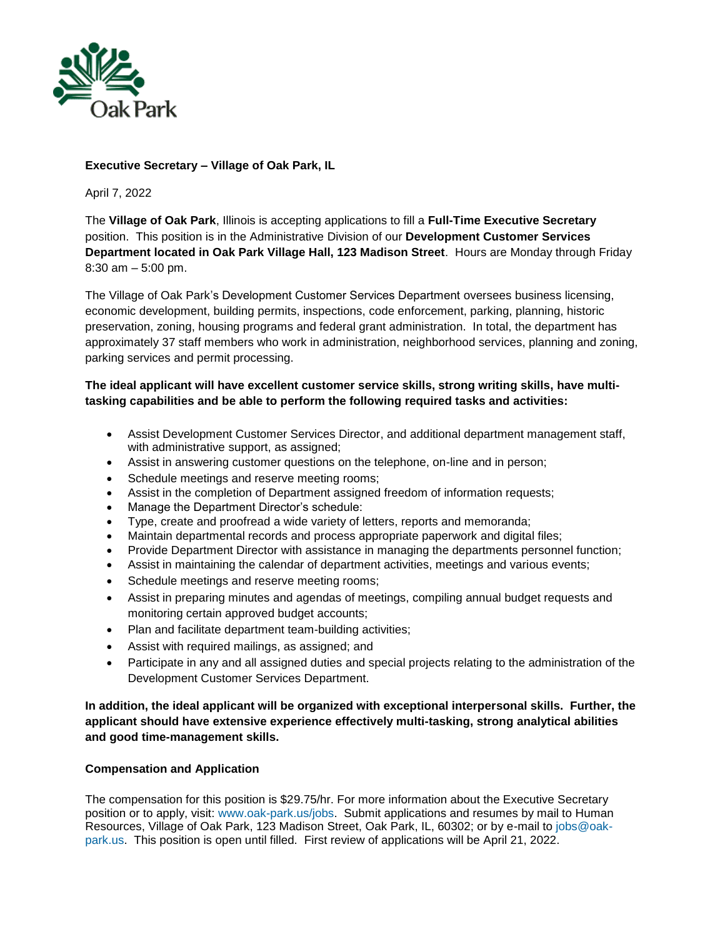

### **Executive Secretary – Village of Oak Park, IL**

April 7, 2022

The **Village of Oak Park**, Illinois is accepting applications to fill a **Full-Time Executive Secretary**  position. This position is in the Administrative Division of our **Development Customer Services Department located in Oak Park Village Hall, 123 Madison Street**. Hours are Monday through Friday 8:30 am – 5:00 pm.

The Village of Oak Park's Development Customer Services Department oversees business licensing, economic development, building permits, inspections, code enforcement, parking, planning, historic preservation, zoning, housing programs and federal grant administration. In total, the department has approximately 37 staff members who work in administration, neighborhood services, planning and zoning, parking services and permit processing.

### **The ideal applicant will have excellent customer service skills, strong writing skills, have multitasking capabilities and be able to perform the following required tasks and activities:**

- Assist Development Customer Services Director, and additional department management staff, with administrative support, as assigned;
- Assist in answering customer questions on the telephone, on-line and in person;
- Schedule meetings and reserve meeting rooms;
- Assist in the completion of Department assigned freedom of information requests;
- Manage the Department Director's schedule:
- Type, create and proofread a wide variety of letters, reports and memoranda;
- Maintain departmental records and process appropriate paperwork and digital files;
- Provide Department Director with assistance in managing the departments personnel function;
- Assist in maintaining the calendar of department activities, meetings and various events;
- Schedule meetings and reserve meeting rooms;
- Assist in preparing minutes and agendas of meetings, compiling annual budget requests and monitoring certain approved budget accounts;
- Plan and facilitate department team-building activities;
- Assist with required mailings, as assigned; and
- Participate in any and all assigned duties and special projects relating to the administration of the Development Customer Services Department.

**In addition, the ideal applicant will be organized with exceptional interpersonal skills. Further, the applicant should have extensive experience effectively multi-tasking, strong analytical abilities and good time-management skills.**

### **Compensation and Application**

The compensation for this position is \$29.75/hr. For more information about the Executive Secretary position or to apply, visit: [www.oak-park.us/jobs.](http://www.oak-park.us/jobs) Submit applications and resumes by mail to Human Resources, Village of Oak Park, 123 Madison Street, Oak Park, IL, 60302; or by e-mail to [jobs@oak](mailto:jobs@oak-park.us)[park.us.](mailto:jobs@oak-park.us) This position is open until filled. First review of applications will be April 21, 2022.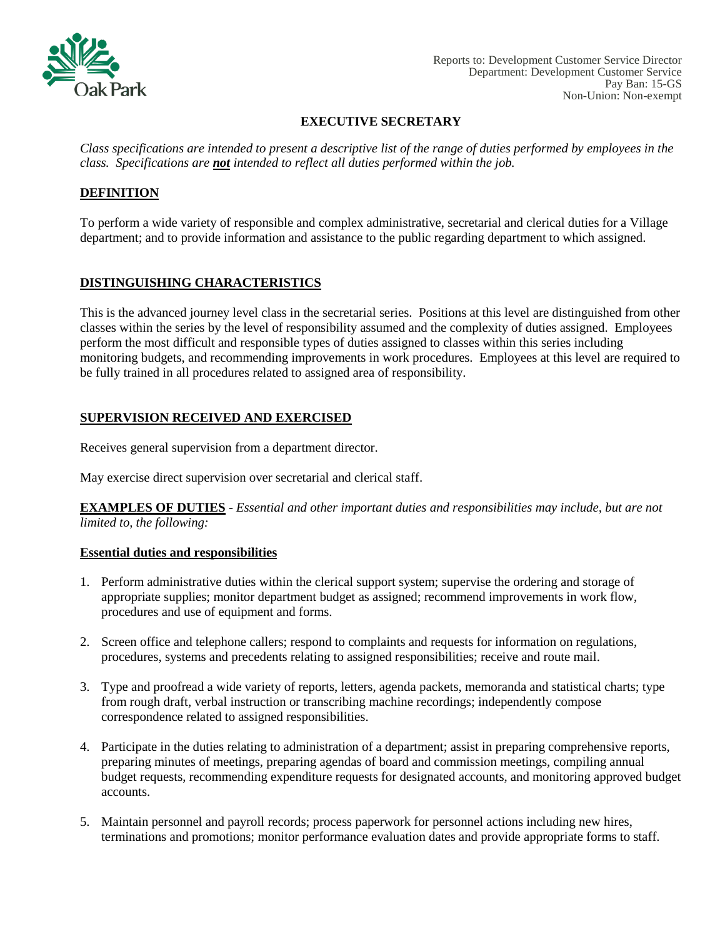

Reports to: Development Customer Service Director Department: Development Customer Service Pay Ban: 15-GS Non-Union: Non-exempt

### **EXECUTIVE SECRETARY**

*Class specifications are intended to present a descriptive list of the range of duties performed by employees in the class. Specifications are not intended to reflect all duties performed within the job.*

## **DEFINITION**

To perform a wide variety of responsible and complex administrative, secretarial and clerical duties for a Village department; and to provide information and assistance to the public regarding department to which assigned.

# **DISTINGUISHING CHARACTERISTICS**

This is the advanced journey level class in the secretarial series. Positions at this level are distinguished from other classes within the series by the level of responsibility assumed and the complexity of duties assigned. Employees perform the most difficult and responsible types of duties assigned to classes within this series including monitoring budgets, and recommending improvements in work procedures. Employees at this level are required to be fully trained in all procedures related to assigned area of responsibility.

## **SUPERVISION RECEIVED AND EXERCISED**

Receives general supervision from a department director.

May exercise direct supervision over secretarial and clerical staff.

**EXAMPLES OF DUTIES** - *Essential and other important duties and responsibilities may include, but are not limited to, the following:*

## **Essential duties and responsibilities**

- 1. Perform administrative duties within the clerical support system; supervise the ordering and storage of appropriate supplies; monitor department budget as assigned; recommend improvements in work flow, procedures and use of equipment and forms.
- 2. Screen office and telephone callers; respond to complaints and requests for information on regulations, procedures, systems and precedents relating to assigned responsibilities; receive and route mail.
- 3. Type and proofread a wide variety of reports, letters, agenda packets, memoranda and statistical charts; type from rough draft, verbal instruction or transcribing machine recordings; independently compose correspondence related to assigned responsibilities.
- 4. Participate in the duties relating to administration of a department; assist in preparing comprehensive reports, preparing minutes of meetings, preparing agendas of board and commission meetings, compiling annual budget requests, recommending expenditure requests for designated accounts, and monitoring approved budget accounts.
- 5. Maintain personnel and payroll records; process paperwork for personnel actions including new hires, terminations and promotions; monitor performance evaluation dates and provide appropriate forms to staff.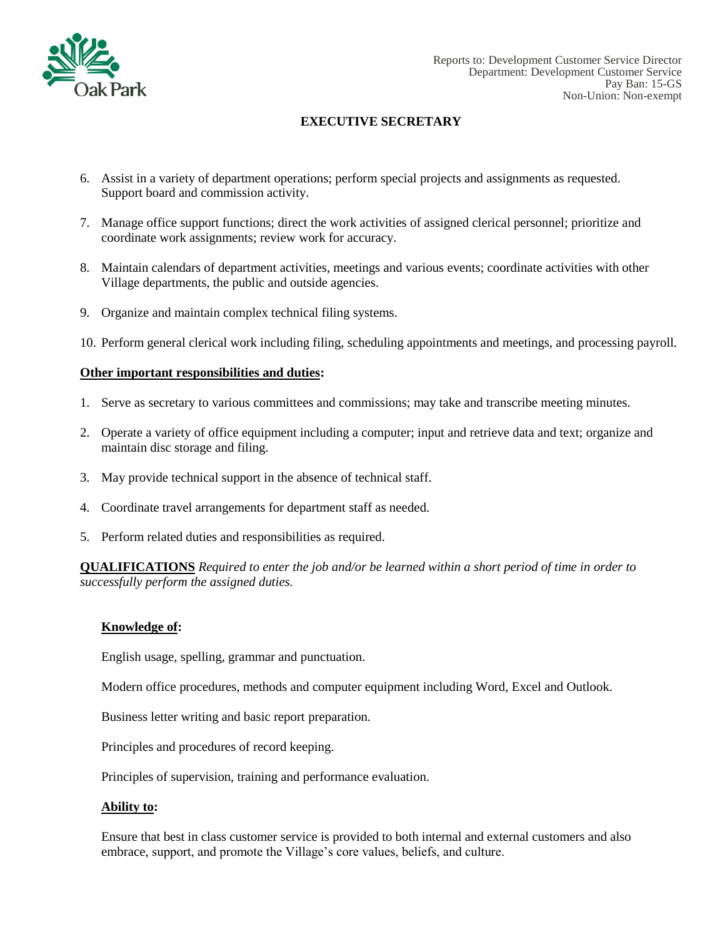

## **EXECUTIVE SECRETARY**

- 6. Assist in a variety of department operations; perform special projects and assignments as requested. Support board and commission activity.
- 7. Manage office support functions; direct the work activities of assigned clerical personnel; prioritize and coordinate work assignments; review work for accuracy.
- 8. Maintain calendars of department activities, meetings and various events; coordinate activities with other Village departments, the public and outside agencies.
- 9. Organize and maintain complex technical filing systems.
- 10. Perform general clerical work including filing, scheduling appointments and meetings, and processing payroll.

### **Other important responsibilities and duties:**

- 1. Serve as secretary to various committees and commissions; may take and transcribe meeting minutes.
- 2. Operate a variety of office equipment including a computer; input and retrieve data and text; organize and maintain disc storage and filing.
- 3. May provide technical support in the absence of technical staff.
- 4. Coordinate travel arrangements for department staff as needed.
- 5. Perform related duties and responsibilities as required.

**QUALIFICATIONS** *Required to enter the job and/or be learned within a short period of time in order to successfully perform the assigned duties.*

### **Knowledge of:**

English usage, spelling, grammar and punctuation.

Modern office procedures, methods and computer equipment including Word, Excel and Outlook.

Business letter writing and basic report preparation.

Principles and procedures of record keeping.

Principles of supervision, training and performance evaluation.

### **Ability to:**

Ensure that best in class customer service is provided to both internal and external customers and also embrace, support, and promote the Village's core values, beliefs, and culture.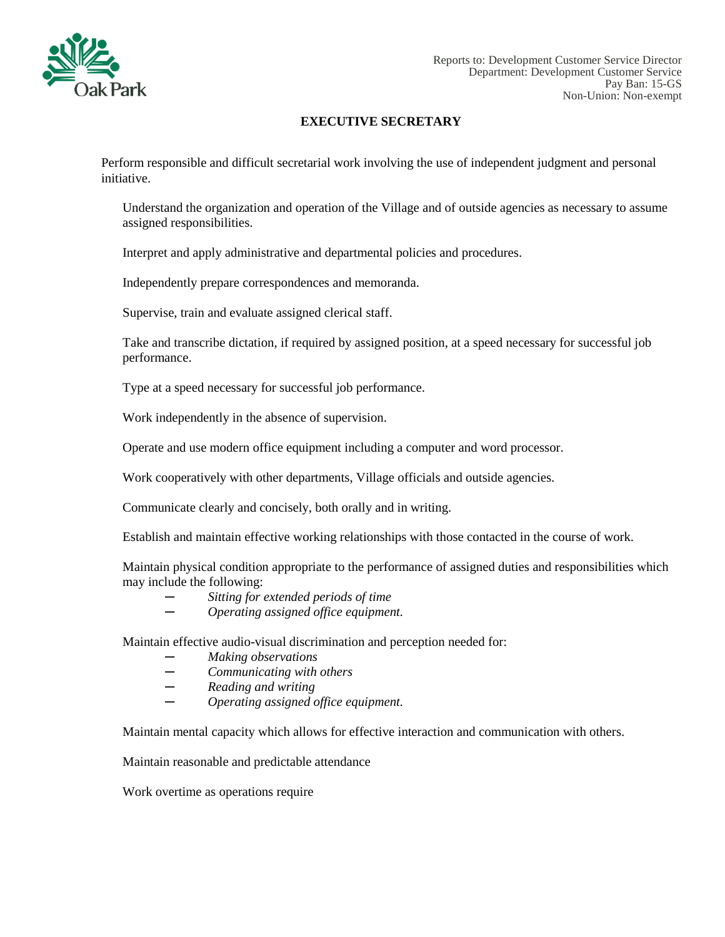

Reports to: Development Customer Service Director Department: Development Customer Service Pay Ban: 15-GS Non-Union: Non-exempt

### **EXECUTIVE SECRETARY**

Perform responsible and difficult secretarial work involving the use of independent judgment and personal initiative.

Understand the organization and operation of the Village and of outside agencies as necessary to assume assigned responsibilities.

Interpret and apply administrative and departmental policies and procedures.

Independently prepare correspondences and memoranda.

Supervise, train and evaluate assigned clerical staff.

Take and transcribe dictation, if required by assigned position, at a speed necessary for successful job performance.

Type at a speed necessary for successful job performance.

Work independently in the absence of supervision.

Operate and use modern office equipment including a computer and word processor.

Work cooperatively with other departments, Village officials and outside agencies.

Communicate clearly and concisely, both orally and in writing.

Establish and maintain effective working relationships with those contacted in the course of work.

Maintain physical condition appropriate to the performance of assigned duties and responsibilities which may include the following:

- *─ Sitting for extended periods of time*
- *─ Operating assigned office equipment.*

Maintain effective audio-visual discrimination and perception needed for:

- *─ Making observations*
- *─ Communicating with others*
- *─ Reading and writing*
- *─ Operating assigned office equipment.*

Maintain mental capacity which allows for effective interaction and communication with others.

Maintain reasonable and predictable attendance

Work overtime as operations require